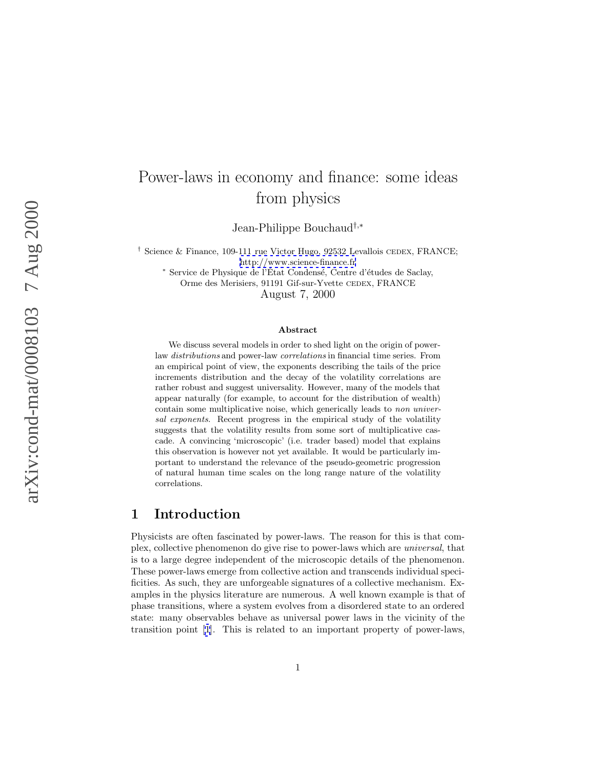# Power-laws in economy and finance: some ideas from physics

Jean-Philippe Bouchaud†,<sup>∗</sup>

<sup>†</sup> Science & Finance, 109-111 rue Victor Hugo, 92532 Levallois CEDEX, FRANCE; <http://www.science-finance.fr>

\* Service de Physique de l'État Condensé, Centre d'études de Saclay, Orme des Merisiers, 91191 Gif-sur-Yvette CEDEX, FRANCE

August 7, 2000

#### **Abstract**

We discuss several models in order to shed light on the origin of powerlaw distributions and power-law correlations in financial time series. From an empirical point of view, the exponents describing the tails of the price increments distribution and the decay of the volatility correlations are rather robust and suggest universality. However, many of the models that appear naturally (for example, to account for the distribution of wealth) contain some multiplicative noise, which generically leads to non universal exponents. Recent progress in the empirical study of the volatility suggests that the volatility results from some sort of multiplicative cascade. A convincing 'microscopic' (i.e. trader based) model that explains this observation is however not yet available. It would be particularly important to understand the relevance of the pseudo-geometric progression of natural human time scales on the long range nature of the volatility correlations.

### **1 Introduction**

Physicists are often fascinated by power-laws. The reason for this is that complex, collective phenomenon do give rise to power-laws which are universal, that is to a large degree independent of the microscopic details of the phenomenon. These power-laws emerge from collective action and transcends individual specificities. As such, they are unforgeable signatures of a collective mechanism. Examples in the physics literature are numerous. A well known example is that of phase transitions, where a system evolves from a disordered state to an ordered state: many observables behave as universal power laws in the vicinity of the transition point [\[1](#page-12-0)]. This is related to an important property of power-laws,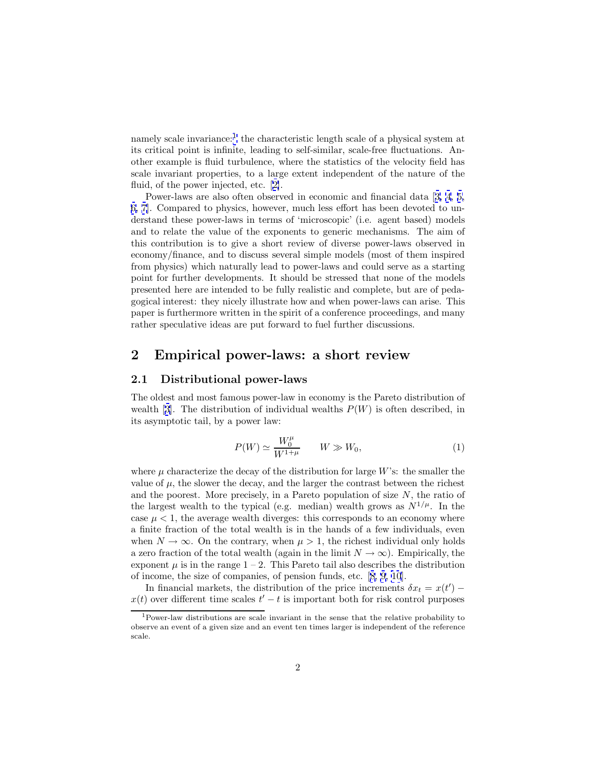namely scale invariance:<sup>1</sup> the characteristic length scale of a physical system at its critical point is infinite, leading to self-similar, scale-free fluctuations. Another example is fluid turbulence, where the statistics of the velocity field has scale invariant properties, to a large extent independent of the nature of the fluid, of the power injected, etc. [[2\]](#page-12-0).

Power-laws are also often observed in economic and financial data [[3, 4](#page-12-0), [5,](#page-13-0) [6, 7\]](#page-13-0). Compared to physics, however, much less effort has been devoted to understand these power-laws in terms of 'microscopic' (i.e. agent based) models and to relate the value of the exponents to generic mechanisms. The aim of this contribution is to give a short review of diverse power-laws observed in economy/finance, and to discuss several simple models (most of them inspired from physics) which naturally lead to power-laws and could serve as a starting point for further developments. It should be stressed that none of the models presented here are intended to be fully realistic and complete, but are of pedagogical interest: they nicely illustrate how and when power-laws can arise. This paper is furthermore written in the spirit of a conference proceedings, and many rather speculative ideas are put forward to fuel further discussions.

### **2 Empirical power-laws: a short review**

### **2.1 Distributional power-laws**

The oldest and most famous power-law in economy is the Pareto distribution of wealth [[3\]](#page-12-0). The distribution of individual wealths  $P(W)$  is often described, in its asymptotic tail, by a power law:

$$
P(W) \simeq \frac{W_0^{\mu}}{W^{1+\mu}} \qquad W \gg W_0,
$$
\n<sup>(1)</sup>

where  $\mu$  characterize the decay of the distribution for large W's: the smaller the value of  $\mu$ , the slower the decay, and the larger the contrast between the richest and the poorest. More precisely, in a Pareto population of size  $N$ , the ratio of the largest wealth to the typical (e.g. median) wealth grows as  $N^{1/\mu}$ . In the case  $\mu < 1$ , the average wealth diverges: this corresponds to an economy where a finite fraction of the total wealth is in the hands of a few individuals, even when  $N \to \infty$ . On the contrary, when  $\mu > 1$ , the richest individual only holds a zero fraction of the total wealth (again in the limit  $N \to \infty$ ). Empirically, the exponent  $\mu$  is in the range  $1 - 2$ . This Pareto tail also describes the distribution of income, the size of companies, of pension funds, etc. [\[8, 9, 10](#page-13-0)].

In financial markets, the distribution of the price increments  $\delta x_t = x(t')$  $x(t)$  over different time scales  $t'-t$  is important both for risk control purposes

<sup>1</sup>Power-law distributions are scale invariant in the sense that the relative probability to observe an event of a given size and an event ten times larger is independent of the reference scale.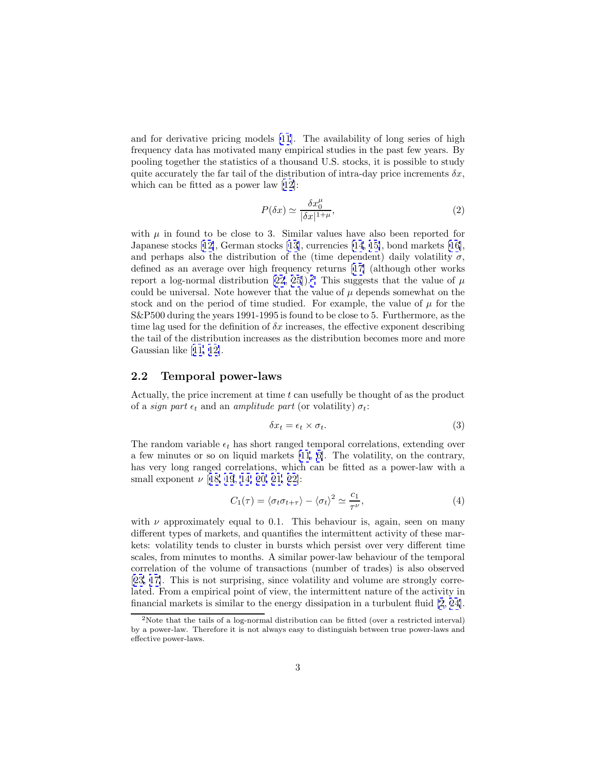<span id="page-2-0"></span>and for derivative pricing models [\[11](#page-13-0)]. The availability of long series of high frequency data has motivated many empirical studies in the past few years. By pooling together the statistics of a thousand U.S. stocks, it is possible to study quite accurately the far tail of the distribution of intra-day price increments  $\delta x$ , which can be fitted as a power law [[12\]](#page-13-0):

$$
P(\delta x) \simeq \frac{\delta x_0^{\mu}}{|\delta x|^{1+\mu}},\tag{2}
$$

with  $\mu$  in found to be close to 3. Similar values have also been reported for Japanese stocks [[12\]](#page-13-0), German stocks [[13\]](#page-13-0), currencies [\[14](#page-13-0), [15\]](#page-13-0), bond markets [\[16](#page-13-0)], and perhaps also the distribution of the (time dependent) daily volatility  $\sigma$ , defined as an average over high frequency returns [[17\]](#page-13-0) (although other works report a log-normal distribution [\[22](#page-14-0), [25](#page-14-0)]).<sup>2</sup> This suggests that the value of  $\mu$ could be universal. Note however that the value of  $\mu$  depends somewhat on the stock and on the period of time studied. For example, the value of  $\mu$  for the S&P500 during the years 1991-1995 is found to be close to 5. Furthermore, as the time lag used for the definition of  $\delta x$  increases, the effective exponent describing the tail of the distribution increases as the distribution becomes more and more Gaussian like [[11, 12\]](#page-13-0).

#### **2.2 Temporal power-laws**

Actually, the price increment at time  $t$  can usefully be thought of as the product of a *sign part*  $\epsilon_t$  and an *amplitude part* (or volatility)  $\sigma_t$ :

$$
\delta x_t = \epsilon_t \times \sigma_t. \tag{3}
$$

The random variable  $\epsilon_t$  has short ranged temporal correlations, extending over a few minutes or so on liquid markets [\[11](#page-13-0), [6\]](#page-13-0). The volatility, on the contrary, has very long ranged correlations, which can be fitted as a power-law with a small exponent  $\nu$  [[18, 19](#page-13-0), [14, 20,](#page-13-0) [21, 22\]](#page-14-0):

$$
C_1(\tau) = \langle \sigma_t \sigma_{t+\tau} \rangle - \langle \sigma_t \rangle^2 \simeq \frac{c_1}{\tau^{\nu}}, \tag{4}
$$

with  $\nu$  approximately equal to 0.1. This behaviour is, again, seen on many different types of markets, and quantifies the intermittent activity of these markets: volatility tends to cluster in bursts which persist over very different time scales, from minutes to months. A similar power-law behaviour of the temporal correlation of the volume of transactions (number of trades) is also observed [[23,](#page-14-0) [17\]](#page-13-0). This is not surprising, since volatility and volume are strongly correlated. From a empirical point of view, the intermittent nature of the activity in financial markets is similar to the energy dissipation in a turbulent fluid [\[2](#page-12-0), [24](#page-14-0)].

<sup>2</sup>Note that the tails of a log-normal distribution can be fitted (over a restricted interval) by a power-law. Therefore it is not always easy to distinguish between true power-laws and effective power-laws.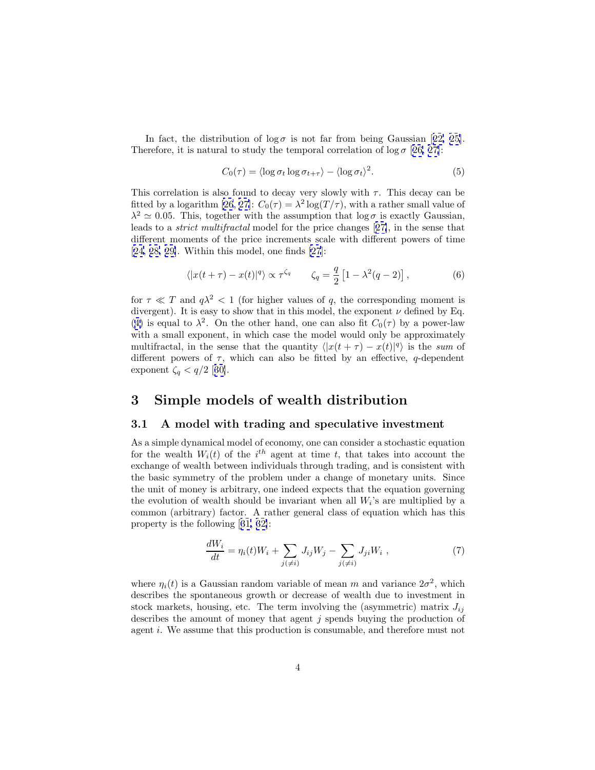<span id="page-3-0"></span>In fact, the distribution of  $\log \sigma$  is not far from being Gaussian [[22, 25](#page-14-0)]. Therefore, it is natural to study the temporal correlation of  $\log \sigma$  [[26, 27\]](#page-14-0):

$$
C_0(\tau) = \langle \log \sigma_t \log \sigma_{t+\tau} \rangle - \langle \log \sigma_t \rangle^2. \tag{5}
$$

This correlation is also found to decay very slowly with  $\tau$ . This decay can be fitted by a logarithm [\[26](#page-14-0), [27\]](#page-14-0):  $C_0(\tau) = \lambda^2 \log(T/\tau)$ , with a rather small value of  $\lambda^2 \simeq 0.05$ . This, together with the assumption that  $\log \sigma$  is exactly Gaussian, leads to a strict multifractal model for the price changes [[27\]](#page-14-0), in the sense that different moments of the price increments scale with different powers of time  $[24, 28, 29]$  $[24, 28, 29]$ . Within this model, one finds  $[27]$  $[27]$ :

$$
\langle |x(t+\tau) - x(t)|^q \rangle \propto \tau^{\zeta_q} \qquad \zeta_q = \frac{q}{2} \left[ 1 - \lambda^2 (q-2) \right],\tag{6}
$$

for  $\tau \ll T$  and  $q\lambda^2 < 1$  (for higher values of q, the corresponding moment is divergent). It is easy to show that in this model, the exponent  $\nu$  defined by Eq. ([4\)](#page-2-0) is equal to  $\lambda^2$ . On the other hand, one can also fit  $C_0(\tau)$  by a power-law with a small exponent, in which case the model would only be approximately multifractal, in the sense that the quantity  $\langle |x(t + \tau) - x(t)|^q \rangle$  is the sum of different powers of  $\tau$ , which can also be fitted by an effective, q-dependent exponent  $\zeta_q < q/2$  [[30\]](#page-14-0).

### **3 Simple models of wealth distribution**

#### **3.1 A model with trading and speculative investment**

As a simple dynamical model of economy, one can consider a stochastic equation for the wealth  $W_i(t)$  of the i<sup>th</sup> agent at time t, that takes into account the exchange of wealth between individuals through trading, and is consistent with the basic symmetry of the problem under a change of monetary units. Since the unit of money is arbitrary, one indeed expects that the equation governing the evolution of wealth should be invariant when all  $W_i$ 's are multiplied by a common (arbitrary) factor. A rather general class of equation which has this property is the following [[31, 32\]](#page-14-0):

$$
\frac{dW_i}{dt} = \eta_i(t)W_i + \sum_{j(\neq i)} J_{ij}W_j - \sum_{j(\neq i)} J_{ji}W_i , \qquad (7)
$$

where  $\eta_i(t)$  is a Gaussian random variable of mean m and variance  $2\sigma^2$ , which describes the spontaneous growth or decrease of wealth due to investment in stock markets, housing, etc. The term involving the (asymmetric) matrix  $J_{ij}$ describes the amount of money that agent  $j$  spends buying the production of agent i. We assume that this production is consumable, and therefore must not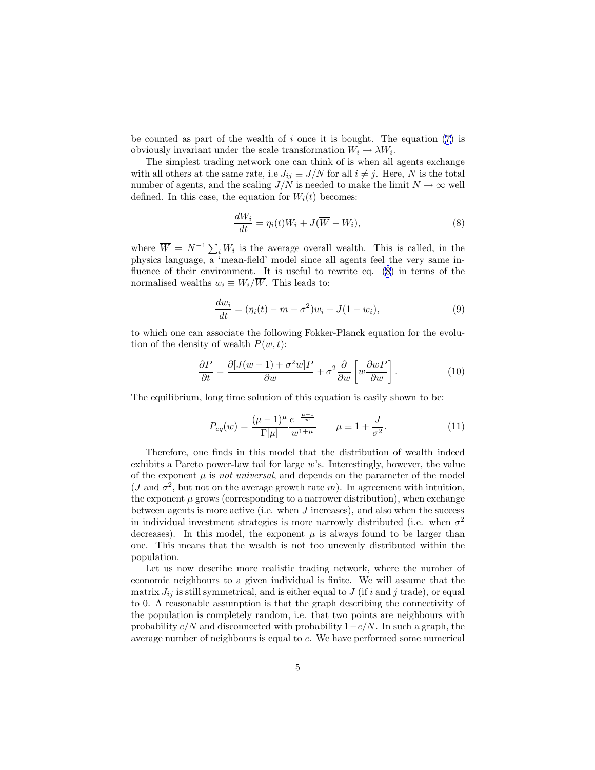<span id="page-4-0"></span>be counted as part of the wealth of i once it is bought. The equation  $(7)$  $(7)$  is obviously invariant under the scale transformation  $W_i \to \lambda W_i$ .

The simplest trading network one can think of is when all agents exchange with all others at the same rate, i.e  $J_{ij} \equiv J/N$  for all  $i \neq j$ . Here, N is the total number of agents, and the scaling  $J/N$  is needed to make the limit  $N \to \infty$  well defined. In this case, the equation for  $W_i(t)$  becomes:

$$
\frac{dW_i}{dt} = \eta_i(t)W_i + J(\overline{W} - W_i),\tag{8}
$$

where  $\overline{W} = N^{-1} \sum_i W_i$  is the average overall wealth. This is called, in the physics language, a 'mean-field' model since all agents feel the very same influence of their environment. It is useful to rewrite eq. (8) in terms of the normalised wealths  $w_i \equiv W_i/\overline{W}$ . This leads to:

$$
\frac{dw_i}{dt} = (\eta_i(t) - m - \sigma^2)w_i + J(1 - w_i),
$$
\n(9)

to which one can associate the following Fokker-Planck equation for the evolution of the density of wealth  $P(w, t)$ :

$$
\frac{\partial P}{\partial t} = \frac{\partial [J(w-1) + \sigma^2 w] P}{\partial w} + \sigma^2 \frac{\partial}{\partial w} \left[ w \frac{\partial w P}{\partial w} \right]. \tag{10}
$$

The equilibrium, long time solution of this equation is easily shown to be:

$$
P_{eq}(w) = \frac{(\mu - 1)^{\mu}}{\Gamma[\mu]} \frac{e^{-\frac{\mu - 1}{w}}}{w^{1 + \mu}} \qquad \mu \equiv 1 + \frac{J}{\sigma^2}.
$$
 (11)

Therefore, one finds in this model that the distribution of wealth indeed exhibits a Pareto power-law tail for large  $w$ 's. Interestingly, however, the value of the exponent  $\mu$  is *not universal*, and depends on the parameter of the model (J and  $\sigma^2$ , but not on the average growth rate m). In agreement with intuition, the exponent  $\mu$  grows (corresponding to a narrower distribution), when exchange between agents is more active (i.e. when  $J$  increases), and also when the success in individual investment strategies is more narrowly distributed (i.e. when  $\sigma^2$ decreases). In this model, the exponent  $\mu$  is always found to be larger than one. This means that the wealth is not too unevenly distributed within the population.

Let us now describe more realistic trading network, where the number of economic neighbours to a given individual is finite. We will assume that the matrix  $J_{ij}$  is still symmetrical, and is either equal to J (if i and j trade), or equal to 0. A reasonable assumption is that the graph describing the connectivity of the population is completely random, i.e. that two points are neighbours with probability  $c/N$  and disconnected with probability  $1-c/N$ . In such a graph, the average number of neighbours is equal to c. We have performed some numerical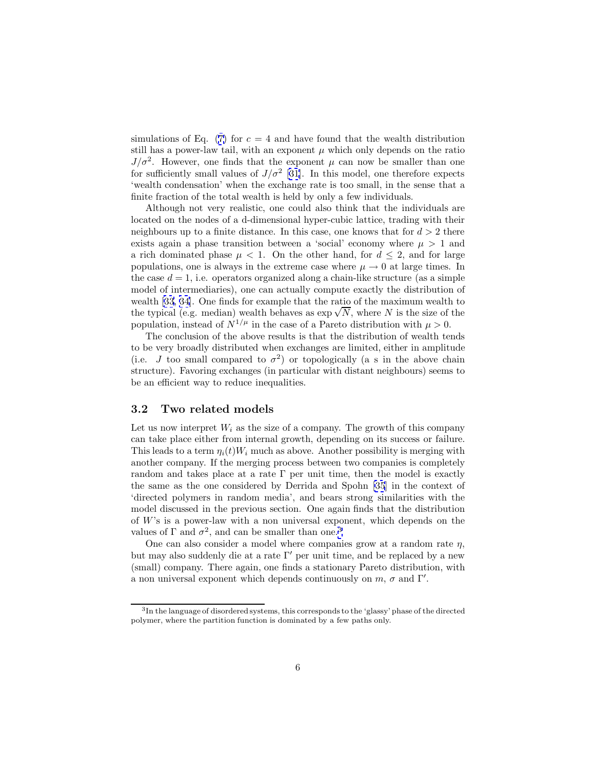simulations of Eq. ([7\)](#page-3-0) for  $c = 4$  and have found that the wealth distribution still has a power-law tail, with an exponent  $\mu$  which only depends on the ratio  $J/\sigma^2$ . However, one finds that the exponent  $\mu$  can now be smaller than one for sufficiently small values of  $J/\sigma^2$  [[31\]](#page-14-0). In this model, one therefore expects 'wealth condensation' when the exchange rate is too small, in the sense that a finite fraction of the total wealth is held by only a few individuals.

Although not very realistic, one could also think that the individuals are located on the nodes of a d-dimensional hyper-cubic lattice, trading with their neighbours up to a finite distance. In this case, one knows that for  $d > 2$  there exists again a phase transition between a 'social' economy where  $\mu > 1$  and a rich dominated phase  $\mu$  < 1. On the other hand, for  $d \leq 2$ , and for large populations, one is always in the extreme case where  $\mu \to 0$  at large times. In the case  $d = 1$ , i.e. operators organized along a chain-like structure (as a simple model of intermediaries), one can actually compute exactly the distribution of wealth [\[33](#page-14-0), [34\]](#page-14-0). One finds for example that the ratio of the maximum wealth to the typical (e.g. median) wealth behaves as  $\exp{\sqrt{N}}$ , where N is the size of the population, instead of  $N^{1/\mu}$  in the case of a Pareto distribution with  $\mu > 0$ .

The conclusion of the above results is that the distribution of wealth tends to be very broadly distributed when exchanges are limited, either in amplitude (i.e. J too small compared to  $\sigma^2$ ) or topologically (a s in the above chain structure). Favoring exchanges (in particular with distant neighbours) seems to be an efficient way to reduce inequalities.

#### **3.2 Two related models**

Let us now interpret  $W_i$  as the size of a company. The growth of this company can take place either from internal growth, depending on its success or failure. This leads to a term  $\eta_i(t)W_i$  much as above. Another possibility is merging with another company. If the merging process between two companies is completely random and takes place at a rate  $\Gamma$  per unit time, then the model is exactly the same as the one considered by Derrida and Spohn [\[35](#page-14-0)] in the context of 'directed polymers in random media', and bears strong similarities with the model discussed in the previous section. One again finds that the distribution of W's is a power-law with a non universal exponent, which depends on the values of  $\Gamma$  and  $\sigma^2$ , and can be smaller than one.<sup>3</sup>

One can also consider a model where companies grow at a random rate  $\eta$ , but may also suddenly die at a rate  $\Gamma'$  per unit time, and be replaced by a new (small) company. There again, one finds a stationary Pareto distribution, with a non universal exponent which depends continuously on  $m$ ,  $\sigma$  and  $\Gamma'$ .

<sup>&</sup>lt;sup>3</sup>In the language of disordered systems, this corresponds to the 'glassy' phase of the directed polymer, where the partition function is dominated by a few paths only.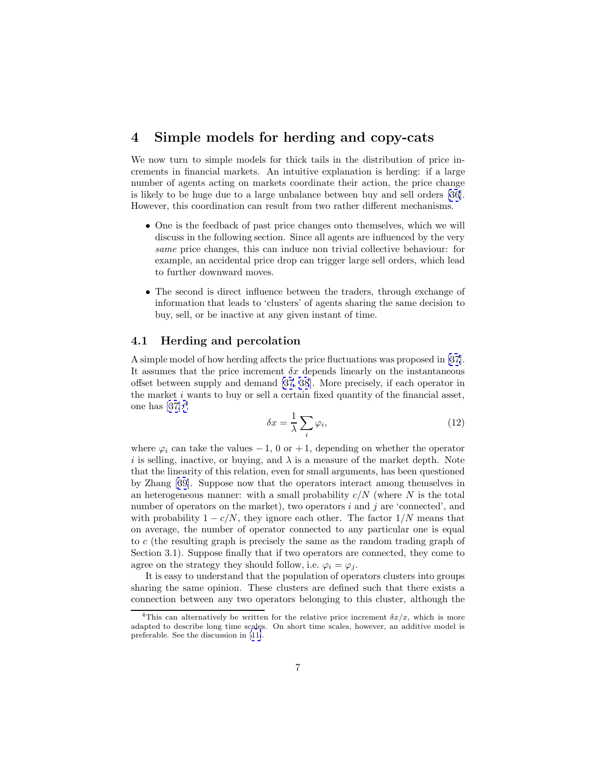### <span id="page-6-0"></span>**4 Simple models for herding and copy-cats**

We now turn to simple models for thick tails in the distribution of price increments in financial markets. An intuitive explanation is herding: if a large number of agents acting on markets coordinate their action, the price change is likely to be huge due to a large unbalance between buy and sell orders [\[36](#page-15-0)]. However, this coordination can result from two rather different mechanisms.

- One is the feedback of past price changes onto themselves, which we will discuss in the following section. Since all agents are influenced by the very same price changes, this can induce non trivial collective behaviour: for example, an accidental price drop can trigger large sell orders, which lead to further downward moves.
- The second is direct influence between the traders, through exchange of information that leads to 'clusters' of agents sharing the same decision to buy, sell, or be inactive at any given instant of time.

### **4.1 Herding and percolation**

A simple model of how herding affects the price fluctuations was proposed in [\[37](#page-15-0)]. It assumes that the price increment  $\delta x$  depends linearly on the instantaneous offset between supply and demand [\[37](#page-15-0), [38](#page-15-0)]. More precisely, if each operator in the market i wants to buy or sell a certain fixed quantity of the financial asset, one has  $[37]:<sup>4</sup>$  $[37]:<sup>4</sup>$  $[37]:<sup>4</sup>$ 

$$
\delta x = \frac{1}{\lambda} \sum_{i} \varphi_i,\tag{12}
$$

where  $\varphi_i$  can take the values  $-1$ , 0 or  $+1$ , depending on whether the operator i is selling, inactive, or buying, and  $\lambda$  is a measure of the market depth. Note that the linearity of this relation, even for small arguments, has been questioned by Zhang [[39\]](#page-15-0). Suppose now that the operators interact among themselves in an heterogeneous manner: with a small probability  $c/N$  (where N is the total number of operators on the market), two operators  $i$  and  $j$  are 'connected', and with probability  $1 - c/N$ , they ignore each other. The factor  $1/N$  means that on average, the number of operator connected to any particular one is equal to c (the resulting graph is precisely the same as the random trading graph of Section 3.1). Suppose finally that if two operators are connected, they come to agree on the strategy they should follow, i.e.  $\varphi_i = \varphi_j$ .

It is easy to understand that the population of operators clusters into groups sharing the same opinion. These clusters are defined such that there exists a connection between any two operators belonging to this cluster, although the

<sup>&</sup>lt;sup>4</sup>This can alternatively be written for the relative price increment  $\delta x/x$ , which is more adapted to describe long time scales. On short time scales, however, an additive model is preferable. See the discussion in [[11\]](#page-13-0).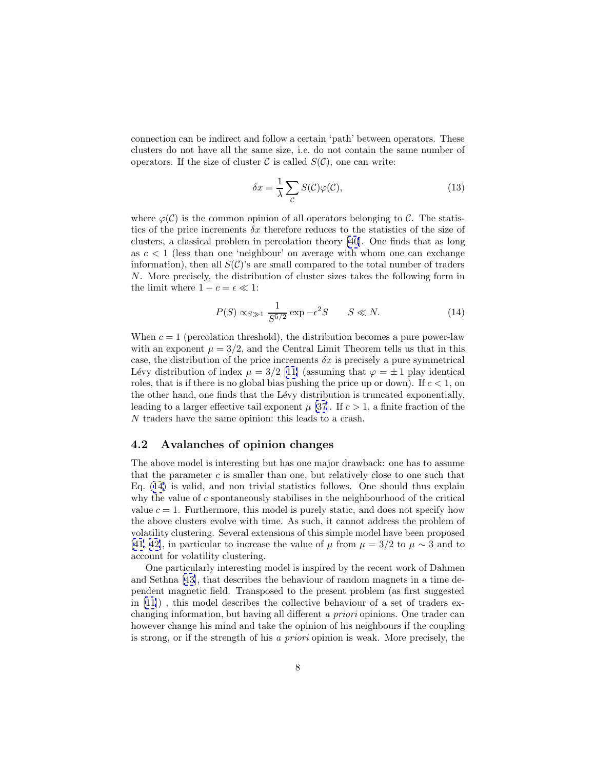connection can be indirect and follow a certain 'path' between operators. These clusters do not have all the same size, i.e. do not contain the same number of operators. If the size of cluster  $\mathcal C$  is called  $S(\mathcal C)$ , one can write:

$$
\delta x = \frac{1}{\lambda} \sum_{\mathcal{C}} S(\mathcal{C}) \varphi(\mathcal{C}), \tag{13}
$$

where  $\varphi(\mathcal{C})$  is the common opinion of all operators belonging to  $\mathcal{C}$ . The statistics of the price increments  $\delta x$  therefore reduces to the statistics of the size of clusters, a classical problem in percolation theory [\[40](#page-15-0)]. One finds that as long as  $c < 1$  (less than one 'neighbour' on average with whom one can exchange information), then all  $S(\mathcal{C})$ 's are small compared to the total number of traders N. More precisely, the distribution of cluster sizes takes the following form in the limit where  $1-c=\epsilon\ll 1:$ 

$$
P(S) \propto_{S \gg 1} \frac{1}{S^{5/2}} \exp(-\epsilon^2 S) \qquad S \ll N. \tag{14}
$$

When  $c = 1$  (percolation threshold), the distribution becomes a pure power-law with an exponent  $\mu = 3/2$ , and the Central Limit Theorem tells us that in this case, the distribution of the price increments  $\delta x$  is precisely a pure symmetrical Lévy distribution of index  $\mu = 3/2$  [[11\]](#page-13-0) (assuming that  $\varphi = \pm 1$  play identical roles, that is if there is no global bias pushing the price up or down). If  $c < 1$ , on the other hand, one finds that the Lévy distribution is truncated exponentially, leading to a larger effective tail exponent  $\mu$  [\[37](#page-15-0)]. If  $c > 1$ , a finite fraction of the N traders have the same opinion: this leads to a crash.

#### **4.2 Avalanches of opinion changes**

The above model is interesting but has one major drawback: one has to assume that the parameter  $c$  is smaller than one, but relatively close to one such that Eq. (14) is valid, and non trivial statistics follows. One should thus explain why the value of  $c$  spontaneously stabilises in the neighbourhood of the critical value  $c = 1$ . Furthermore, this model is purely static, and does not specify how the above clusters evolve with time. As such, it cannot address the problem of volatility clustering. Several extensions of this simple model have been proposed [[41, 42\]](#page-15-0), in particular to increase the value of  $\mu$  from  $\mu = 3/2$  to  $\mu \sim 3$  and to account for volatility clustering.

One particularly interesting model is inspired by the recent work of Dahmen and Sethna [\[43\]](#page-15-0), that describes the behaviour of random magnets in a time dependent magnetic field. Transposed to the present problem (as first suggested in [[11\]](#page-13-0)) , this model describes the collective behaviour of a set of traders exchanging information, but having all different a priori opinions. One trader can however change his mind and take the opinion of his neighbours if the coupling is strong, or if the strength of his a priori opinion is weak. More precisely, the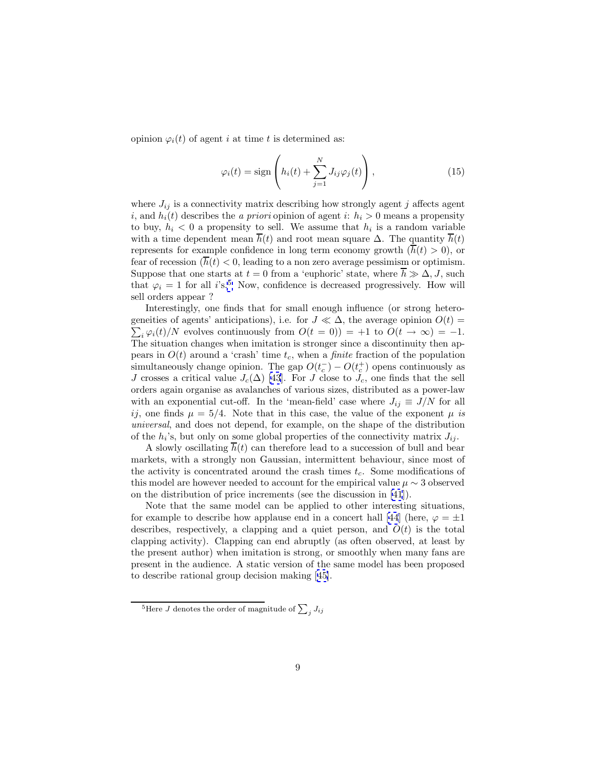opinion  $\varphi_i(t)$  of agent i at time t is determined as:

$$
\varphi_i(t) = \text{sign}\left(h_i(t) + \sum_{j=1}^N J_{ij}\varphi_j(t)\right),\tag{15}
$$

where  $J_{ij}$  is a connectivity matrix describing how strongly agent j affects agent i, and  $h_i(t)$  describes the a priori opinion of agent i:  $h_i > 0$  means a propensity to buy,  $h_i < 0$  a propensity to sell. We assume that  $h_i$  is a random variable with a time dependent mean  $\overline{h}(t)$  and root mean square  $\Delta$ . The quantity  $\overline{h}(t)$ represents for example confidence in long term economy growth  $(\overline{h}(t) > 0)$ , or fear of recession  $(\overline{h}(t) < 0)$ , leading to a non zero average pessimism or optimism. Suppose that one starts at  $t = 0$  from a 'euphoric' state, where  $\overline{h} \gg \Delta, J$ , such that  $\varphi_i = 1$  for all i's.<sup>5</sup> Now, confidence is decreased progressively. How will sell orders appear ?

Interestingly, one finds that for small enough influence (or strong heterogeneities of agents' anticipations), i.e. for  $J \ll \Delta$ , the average opinion  $O(t) =$  $\sum_i \varphi_i(t)/N$  evolves continuously from  $O(t = 0)$  = +1 to  $O(t \to \infty)$  = -1. The situation changes when imitation is stronger since a discontinuity then appears in  $O(t)$  around a 'crash' time  $t_c$ , when a *finite* fraction of the population simultaneously change opinion. The gap  $O(t_c^-) - O(t_c^+)$  opens continuously as J crosses a critical value  $J_c(\Delta)$  [\[43\]](#page-15-0). For J close to  $J_c$ , one finds that the sell orders again organise as avalanches of various sizes, distributed as a power-law with an exponential cut-off. In the 'mean-field' case where  $J_{ij} \equiv J/N$  for all ij, one finds  $\mu = 5/4$ . Note that in this case, the value of the exponent  $\mu$  is universal, and does not depend, for example, on the shape of the distribution of the  $h_i$ 's, but only on some global properties of the connectivity matrix  $J_{ij}$ .

A slowly oscillating  $h(t)$  can therefore lead to a succession of bull and bear markets, with a strongly non Gaussian, intermittent behaviour, since most of the activity is concentrated around the crash times  $t_c$ . Some modifications of this model are however needed to account for the empirical value  $\mu \sim 3$  observed on the distribution of price increments (see the discussion in [\[41](#page-15-0)]).

Note that the same model can be applied to other interesting situations, for example to describe how applause end in a concert hall [\[44](#page-15-0)] (here,  $\varphi = \pm 1$ ) describes, respectively, a clapping and a quiet person, and  $O(t)$  is the total clapping activity). Clapping can end abruptly (as often observed, at least by the present author) when imitation is strong, or smoothly when many fans are present in the audience. A static version of the same model has been proposed to describe rational group decision making [[45\]](#page-15-0).

 $^{5}$ Here  $J$  denotes the order of magnitude of  $\sum_{j} J_{ij}$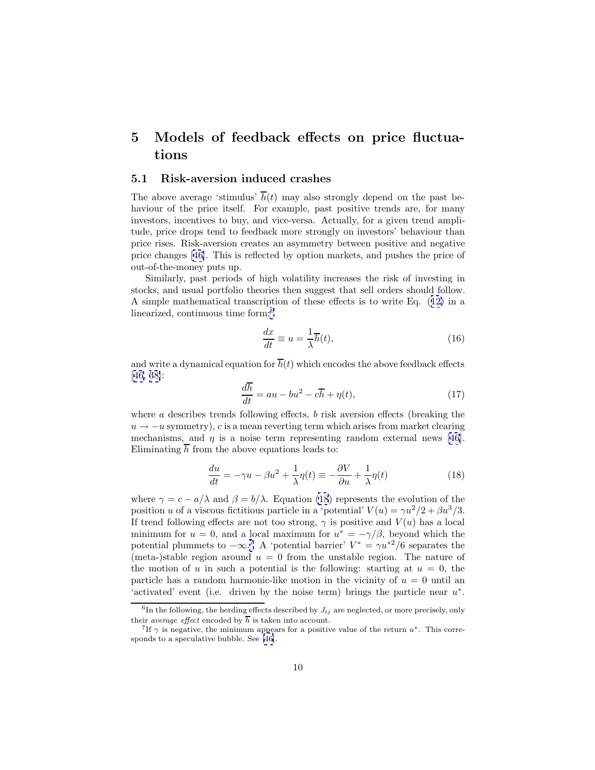## <span id="page-9-0"></span>**5 Models of feedback effects on price fluctuations**

#### **5.1 Risk-aversion induced crashes**

The above average 'stimulus'  $\overline{h}(t)$  may also strongly depend on the past behaviour of the price itself. For example, past positive trends are, for many investors, incentives to buy, and vice-versa. Actually, for a given trend amplitude, price drops tend to feedback more strongly on investors' behaviour than price rises. Risk-aversion creates an asymmetry between positive and negative price changes [[46\]](#page-15-0). This is reflected by option markets, and pushes the price of out-of-the-money puts up.

Similarly, past periods of high volatility increases the risk of investing in stocks, and usual portfolio theories then suggest that sell orders should follow. A simple mathematical transcription of these effects is to write Eq. ([12\)](#page-6-0) in a linearized, continuous time form:<sup>6</sup>

$$
\frac{dx}{dt} \equiv u = \frac{1}{\lambda} \overline{h}(t),\tag{16}
$$

and write a dynamical equation for  $\overline{h}(t)$  which encodes the above feedback effects [[46, 38\]](#page-15-0):

$$
\frac{d\overline{h}}{dt} = au - bu^2 - c\overline{h} + \eta(t),\tag{17}
$$

where a describes trends following effects, b risk aversion effects (breaking the  $u \rightarrow -u$  symmetry), c is a mean reverting term which arises from market clearing mechanisms, and  $\eta$  is a noise term representing random external news [\[46\]](#page-15-0). Eliminating  $\overline{h}$  from the above equations leads to:

$$
\frac{du}{dt} = -\gamma u - \beta u^2 + \frac{1}{\lambda} \eta(t) \equiv -\frac{\partial V}{\partial u} + \frac{1}{\lambda} \eta(t)
$$
\n(18)

where  $\gamma = c - a/\lambda$  and  $\beta = b/\lambda$ . Equation (18) represents the evolution of the position u of a viscous fictitious particle in a 'potential'  $V(u) = \gamma u^2/2 + \beta u^3/3$ . If trend following effects are not too strong,  $\gamma$  is positive and  $V(u)$  has a local minimum for  $u = 0$ , and a local maximum for  $u^* = -\gamma/\beta$ , beyond which the potential plummets to  $-\infty$ .<sup>7</sup> A 'potential barrier'  $V^* = \gamma u^{*2}/6$  separates the (meta-)stable region around  $u = 0$  from the unstable region. The nature of the motion of u in such a potential is the following: starting at  $u = 0$ , the particle has a random harmonic-like motion in the vicinity of  $u = 0$  until an 'activated' event (i.e. driven by the noise term) brings the particle near  $u^*$ .

 ${}^{6}$ In the following, the herding effects described by  $J_{ij}$  are neglected, or more precisely, only their *average effect* encoded by  $\overline{h}$  is taken into account.

<sup>&</sup>lt;sup>7</sup>If  $\gamma$  is negative, the minimum appears for a positive value of the return  $u^*$ . This corresponds to a speculative bubble. See [\[46\]](#page-15-0).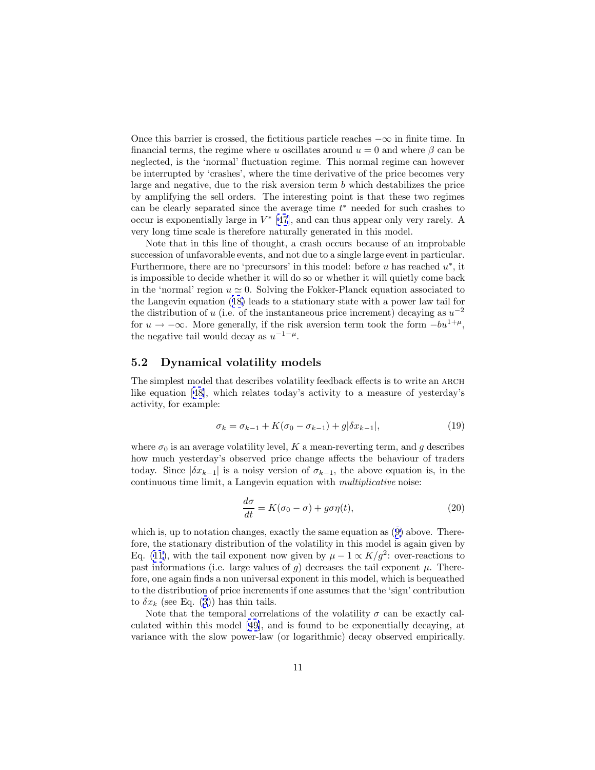Once this barrier is crossed, the fictitious particle reaches  $-\infty$  in finite time. In financial terms, the regime where u oscillates around  $u = 0$  and where  $\beta$  can be neglected, is the 'normal' fluctuation regime. This normal regime can however be interrupted by 'crashes', where the time derivative of the price becomes very large and negative, due to the risk aversion term  $b$  which destabilizes the price by amplifying the sell orders. The interesting point is that these two regimes can be clearly separated since the average time  $t^*$  needed for such crashes to occur is exponentially large in  $V^*$  [\[47](#page-15-0)], and can thus appear only very rarely. A very long time scale is therefore naturally generated in this model.

Note that in this line of thought, a crash occurs because of an improbable succession of unfavorable events, and not due to a single large event in particular. Furthermore, there are no 'precursors' in this model: before u has reached  $u^*$ , it is impossible to decide whether it will do so or whether it will quietly come back in the 'normal' region  $u \approx 0$ . Solving the Fokker-Planck equation associated to the Langevin equation ([18\)](#page-9-0) leads to a stationary state with a power law tail for the distribution of u (i.e. of the instantaneous price increment) decaying as  $u^{-2}$ for  $u \to -\infty$ . More generally, if the risk aversion term took the form  $-bu^{1+\mu}$ , the negative tail would decay as  $u^{-1-\mu}$ .

#### **5.2 Dynamical volatility models**

The simplest model that describes volatility feedback effects is to write an ARCH like equation [[48\]](#page-15-0), which relates today's activity to a measure of yesterday's activity, for example:

$$
\sigma_k = \sigma_{k-1} + K(\sigma_0 - \sigma_{k-1}) + g|\delta x_{k-1}|,
$$
\n(19)

where  $\sigma_0$  is an average volatility level, K a mean-reverting term, and g describes how much yesterday's observed price change affects the behaviour of traders today. Since  $|\delta x_{k-1}|$  is a noisy version of  $\sigma_{k-1}$ , the above equation is, in the continuous time limit, a Langevin equation with multiplicative noise:

$$
\frac{d\sigma}{dt} = K(\sigma_0 - \sigma) + g\sigma\eta(t),\tag{20}
$$

which is, up to notation changes, exactly the same equation as  $(9)$  $(9)$  above. Therefore, the stationary distribution of the volatility in this model is again given by Eq. ([11](#page-4-0)), with the tail exponent now given by  $\mu - 1 \propto K/g^2$ : over-reactions to past informations (i.e. large values of g) decreases the tail exponent  $\mu$ . Therefore, one again finds a non universal exponent in this model, which is bequeathed to the distribution of price increments if one assumes that the 'sign' contribution to  $\delta x_k$  (see Eq. ([3\)](#page-2-0)) has thin tails.

Note that the temporal correlations of the volatility  $\sigma$  can be exactly calculated within this model [[49\]](#page-15-0), and is found to be exponentially decaying, at variance with the slow power-law (or logarithmic) decay observed empirically.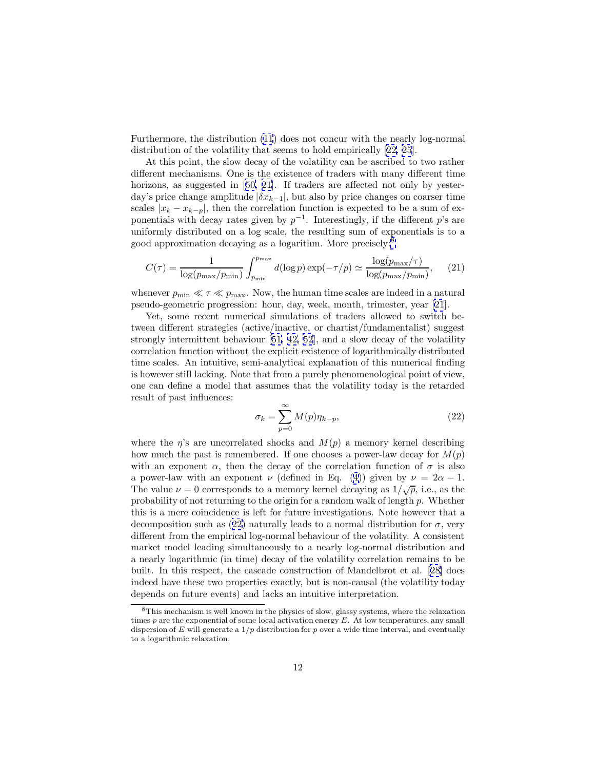Furthermore, the distribution [\(11](#page-4-0)) does not concur with the nearly log-normal distribution of the volatility that seems to hold empirically [[22, 25\]](#page-14-0).

At this point, the slow decay of the volatility can be ascribed to two rather different mechanisms. One is the existence of traders with many different time horizons, as suggested in [[50,](#page-15-0) [21\]](#page-14-0). If traders are affected not only by yesterday's price change amplitude  $|\delta x_{k-1}|$ , but also by price changes on coarser time scales  $|x_k - x_{k-p}|$ , then the correlation function is expected to be a sum of exponentials with decay rates given by  $p^{-1}$ . Interestingly, if the different p's are uniformly distributed on a log scale, the resulting sum of exponentials is to a good approximation decaying as a logarithm. More precisely:<sup>8</sup>

$$
C(\tau) = \frac{1}{\log(p_{\max}/p_{\min})} \int_{p_{\min}}^{p_{\max}} d(\log p) \exp(-\tau/p) \simeq \frac{\log(p_{\max}/\tau)}{\log(p_{\max}/p_{\min})},\tag{21}
$$

whenever  $p_{\min} \ll \tau \ll p_{\max}$ . Now, the human time scales are indeed in a natural pseudo-geometric progression: hour, day, week, month, trimester, year [\[21](#page-14-0)].

Yet, some recent numerical simulations of traders allowed to switch between different strategies (active/inactive, or chartist/fundamentalist) suggest strongly intermittent behaviour [[51, 42, 52](#page-15-0)], and a slow decay of the volatility correlation function without the explicit existence of logarithmically distributed time scales. An intuitive, semi-analytical explanation of this numerical finding is however still lacking. Note that from a purely phenomenological point of view, one can define a model that assumes that the volatility today is the retarded result of past influences:

$$
\sigma_k = \sum_{p=0}^{\infty} M(p)\eta_{k-p},\tag{22}
$$

where the  $\eta$ 's are uncorrelated shocks and  $M(p)$  a memory kernel describing how much the past is remembered. If one chooses a power-law decay for  $M(p)$ with an exponent  $\alpha$ , then the decay of the correlation function of  $\sigma$  is also a power-law with an exponent  $\nu$  (defined in Eq. ([4\)](#page-2-0)) given by  $\nu = 2\alpha - 1$ . The value  $\nu = 0$  corresponds to a memory kernel decaying as  $1/\sqrt{p}$ , i.e., as the probability of not returning to the origin for a random walk of length p. Whether this is a mere coincidence is left for future investigations. Note however that a decomposition such as (22) naturally leads to a normal distribution for  $\sigma$ , very different from the empirical log-normal behaviour of the volatility. A consistent market model leading simultaneously to a nearly log-normal distribution and a nearly logarithmic (in time) decay of the volatility correlation remains to be built. In this respect, the cascade construction of Mandelbrot et al. [[28\]](#page-14-0) does indeed have these two properties exactly, but is non-causal (the volatility today depends on future events) and lacks an intuitive interpretation.

<sup>&</sup>lt;sup>8</sup>This mechanism is well known in the physics of slow, glassy systems, where the relaxation times  $p$  are the exponential of some local activation energy  $E$ . At low temperatures, any small dispersion of E will generate a  $1/p$  distribution for p over a wide time interval, and eventually to a logarithmic relaxation.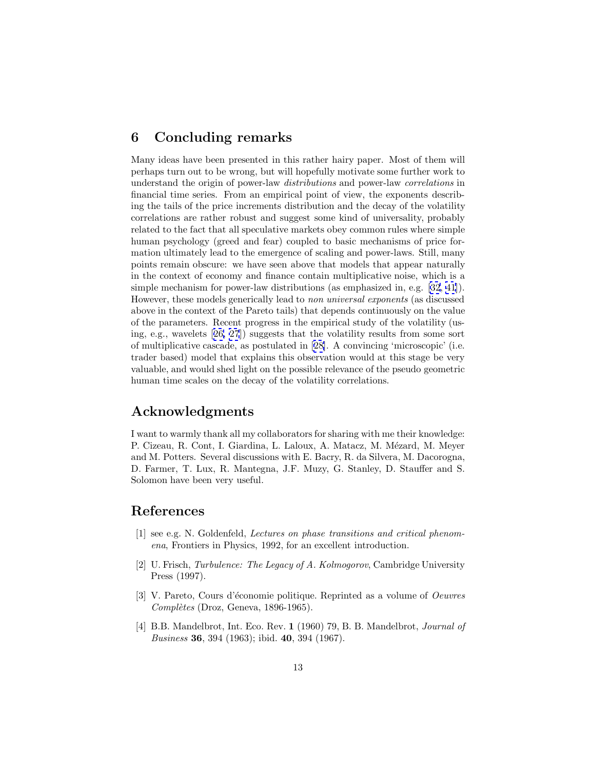### <span id="page-12-0"></span>**6 Concluding remarks**

Many ideas have been presented in this rather hairy paper. Most of them will perhaps turn out to be wrong, but will hopefully motivate some further work to understand the origin of power-law distributions and power-law correlations in financial time series. From an empirical point of view, the exponents describing the tails of the price increments distribution and the decay of the volatility correlations are rather robust and suggest some kind of universality, probably related to the fact that all speculative markets obey common rules where simple human psychology (greed and fear) coupled to basic mechanisms of price formation ultimately lead to the emergence of scaling and power-laws. Still, many points remain obscure: we have seen above that models that appear naturally in the context of economy and finance contain multiplicative noise, which is a simple mechanism for power-law distributions (as emphasized in, e.g. [\[32](#page-14-0), [41\]](#page-15-0)). However, these models generically lead to non universal exponents (as discussed above in the context of the Pareto tails) that depends continuously on the value of the parameters. Recent progress in the empirical study of the volatility (using, e.g., wavelets [[26, 27](#page-14-0)]) suggests that the volatility results from some sort of multiplicative cascade, as postulated in [[28\]](#page-14-0). A convincing 'microscopic' (i.e. trader based) model that explains this observation would at this stage be very valuable, and would shed light on the possible relevance of the pseudo geometric human time scales on the decay of the volatility correlations.

### **Acknowledgments**

I want to warmly thank all my collaborators for sharing with me their knowledge: P. Cizeau, R. Cont, I. Giardina, L. Laloux, A. Matacz, M. Mézard, M. Meyer and M. Potters. Several discussions with E. Bacry, R. da Silvera, M. Dacorogna, D. Farmer, T. Lux, R. Mantegna, J.F. Muzy, G. Stanley, D. Stauffer and S. Solomon have been very useful.

### **References**

- [1] see e.g. N. Goldenfeld, Lectures on phase transitions and critical phenomena, Frontiers in Physics, 1992, for an excellent introduction.
- [2] U. Frisch, Turbulence: The Legacy of A. Kolmogorov, Cambridge University Press (1997).
- [3] V. Pareto, Cours d'économie politique. Reprinted as a volume of *Oeuvres*  $Compl\`{e}tes$  (Droz, Geneva, 1896-1965).
- [4] B.B. Mandelbrot, Int. Eco. Rev. **1** (1960) 79, B. B. Mandelbrot, Journal of Business **36**, 394 (1963); ibid. **40**, 394 (1967).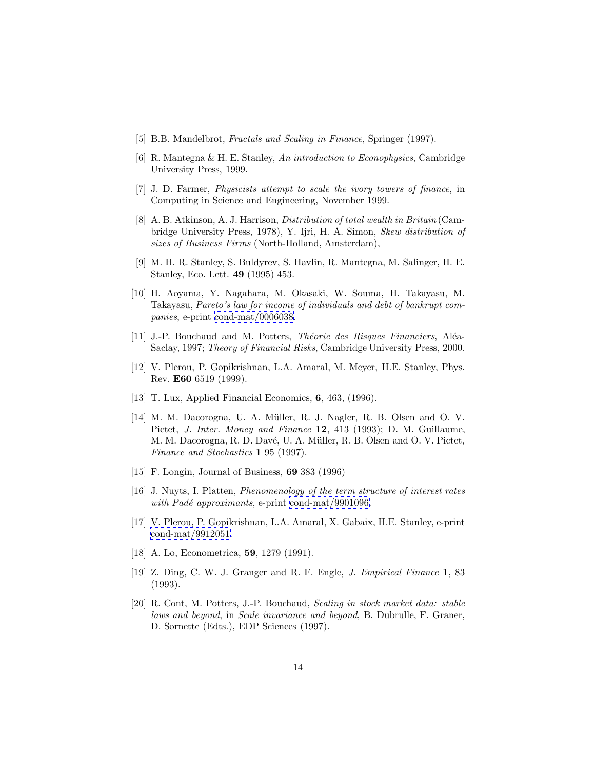- <span id="page-13-0"></span>[5] B.B. Mandelbrot, *Fractals and Scaling in Finance*, Springer (1997).
- [6] R. Mantegna & H. E. Stanley, An introduction to Econophysics, Cambridge University Press, 1999.
- [7] J. D. Farmer, Physicists attempt to scale the ivory towers of finance, in Computing in Science and Engineering, November 1999.
- [8] A. B. Atkinson, A. J. Harrison, Distribution of total wealth in Britain (Cambridge University Press, 1978), Y. Ijri, H. A. Simon, Skew distribution of sizes of Business Firms (North-Holland, Amsterdam),
- [9] M. H. R. Stanley, S. Buldyrev, S. Havlin, R. Mantegna, M. Salinger, H. E. Stanley, Eco. Lett. **49** (1995) 453.
- [10] H. Aoyama, Y. Nagahara, M. Okasaki, W. Souma, H. Takayasu, M. Takayasu, Pareto's law for income of individuals and debt of bankrupt companies, e-print [cond-mat/0006038](http://xxx.lanl.gov/abs/cond-mat/0006038).
- [11] J.-P. Bouchaud and M. Potters, *Théorie des Risques Financiers*, Aléa-Saclay, 1997; Theory of Financial Risks, Cambridge University Press, 2000.
- [12] V. Plerou, P. Gopikrishnan, L.A. Amaral, M. Meyer, H.E. Stanley, Phys. Rev. **E60** 6519 (1999).
- [13] T. Lux, Applied Financial Economics, **6**, 463, (1996).
- [14] M. M. Dacorogna, U. A. Müller, R. J. Nagler, R. B. Olsen and O. V. Pictet, J. Inter. Money and Finance **12**, 413 (1993); D. M. Guillaume, M. M. Dacorogna, R. D. Davé, U. A. Müller, R. B. Olsen and O. V. Pictet, Finance and Stochastics **1** 95 (1997).
- [15] F. Longin, Journal of Business, **69** 383 (1996)
- [16] J. Nuyts, I. Platten, Phenomenology of the term structure of interest rates with Padé approximants, e-print [cond-mat/9901096.](http://xxx.lanl.gov/abs/cond-mat/9901096)
- [17] V. Plerou, P. Gopikrishnan, L.A. Amaral, X. Gabaix, H.E. Stanley, e-print [cond-mat/9912051.](http://xxx.lanl.gov/abs/cond-mat/9912051)
- [18] A. Lo, Econometrica, **59**, 1279 (1991).
- [19] Z. Ding, C. W. J. Granger and R. F. Engle, J. Empirical Finance **1**, 83 (1993).
- [20] R. Cont, M. Potters, J.-P. Bouchaud, Scaling in stock market data: stable laws and beyond, in Scale invariance and beyond, B. Dubrulle, F. Graner, D. Sornette (Edts.), EDP Sciences (1997).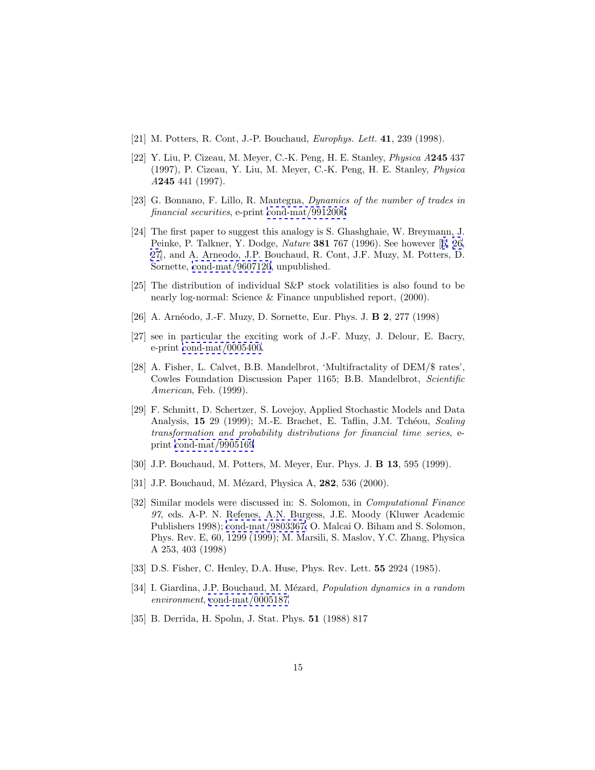- <span id="page-14-0"></span>[21] M. Potters, R. Cont, J.-P. Bouchaud, Europhys. Lett. **41**, 239 (1998).
- [22] Y. Liu, P. Cizeau, M. Meyer, C.-K. Peng, H. E. Stanley, Physica A**245** 437 (1997), P. Cizeau, Y. Liu, M. Meyer, C.-K. Peng, H. E. Stanley, Physica A**245** 441 (1997).
- [23] G. Bonnano, F. Lillo, R. Mantegna, Dynamics of the number of trades in financial securities, e-print [cond-mat/9912006](http://xxx.lanl.gov/abs/cond-mat/9912006)
- [24] The first paper to suggest this analogy is S. Ghashghaie, W. Breymann, J. Peinke, P. Talkner, Y. Dodge, Nature **381** 767 (1996). See however [[6,](#page-13-0) 26, 27], and A. Arneodo, J.P. Bouchaud, R. Cont, J.F. Muzy, M. Potters, D. Sornette, [cond-mat/9607120](http://xxx.lanl.gov/abs/cond-mat/9607120), unpublished.
- [25] The distribution of individual S&P stock volatilities is also found to be nearly log-normal: Science & Finance unpublished report, (2000).
- [26] A. Arn´eodo, J.-F. Muzy, D. Sornette, Eur. Phys. J. **B 2**, 277 (1998)
- [27] see in particular the exciting work of J.-F. Muzy, J. Delour, E. Bacry, e-print [cond-mat/0005400](http://xxx.lanl.gov/abs/cond-mat/0005400).
- [28] A. Fisher, L. Calvet, B.B. Mandelbrot, 'Multifractality of DEM/\$ rates', Cowles Foundation Discussion Paper 1165; B.B. Mandelbrot, Scientific American, Feb. (1999).
- [29] F. Schmitt, D. Schertzer, S. Lovejoy, Applied Stochastic Models and Data Analysis, **15** 29 (1999); M.-E. Brachet, E. Taflin, J.M. Tchéou, *Scaling* transformation and probability distributions for financial time series, eprint [cond-mat/9905169](http://xxx.lanl.gov/abs/cond-mat/9905169)
- [30] J.P. Bouchaud, M. Potters, M. Meyer, Eur. Phys. J. **B 13**, 595 (1999).
- [31] J.P. Bouchaud, M. Mézard, Physica A, **282**, 536 (2000).
- [32] Similar models were discussed in: S. Solomon, in Computational Finance 97, eds. A-P. N. Refenes, A.N. Burgess, J.E. Moody (Kluwer Academic Publishers 1998); [cond-mat/9803367;](http://xxx.lanl.gov/abs/cond-mat/9803367) O. Malcai O. Biham and S. Solomon, Phys. Rev. E, 60, 1299 (1999); M. Marsili, S. Maslov, Y.C. Zhang, Physica A 253, 403 (1998)
- [33] D.S. Fisher, C. Henley, D.A. Huse, Phys. Rev. Lett. **55** 2924 (1985).
- [34] I. Giardina, J.P. Bouchaud, M. Mézard, Population dynamics in a random environment, [cond-mat/0005187](http://xxx.lanl.gov/abs/cond-mat/0005187)
- [35] B. Derrida, H. Spohn, J. Stat. Phys. **51** (1988) 817